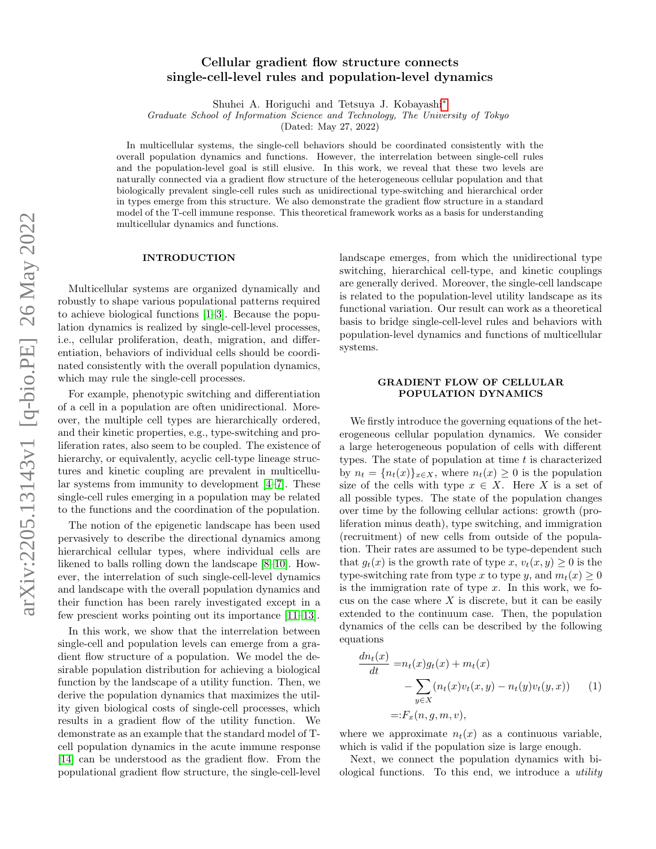# Cellular gradient flow structure connects single-cell-level rules and population-level dynamics

Shuhei A. Horiguchi and Tetsuya J. Kobayashi[∗](#page-4-0)

Graduate School of Information Science and Technology, The University of Tokyo

(Dated: May 27, 2022)

In multicellular systems, the single-cell behaviors should be coordinated consistently with the overall population dynamics and functions. However, the interrelation between single-cell rules and the population-level goal is still elusive. In this work, we reveal that these two levels are naturally connected via a gradient flow structure of the heterogeneous cellular population and that biologically prevalent single-cell rules such as unidirectional type-switching and hierarchical order in types emerge from this structure. We also demonstrate the gradient flow structure in a standard model of the T-cell immune response. This theoretical framework works as a basis for understanding multicellular dynamics and functions.

#### INTRODUCTION

Multicellular systems are organized dynamically and robustly to shape various populational patterns required to achieve biological functions [\[1–](#page-4-1)[3\]](#page-4-2). Because the population dynamics is realized by single-cell-level processes, i.e., cellular proliferation, death, migration, and differentiation, behaviors of individual cells should be coordinated consistently with the overall population dynamics, which may rule the single-cell processes.

For example, phenotypic switching and differentiation of a cell in a population are often unidirectional. Moreover, the multiple cell types are hierarchically ordered, and their kinetic properties, e.g., type-switching and proliferation rates, also seem to be coupled. The existence of hierarchy, or equivalently, acyclic cell-type lineage structures and kinetic coupling are prevalent in multicellular systems from immunity to development [\[4](#page-4-3)[–7\]](#page-4-4). These single-cell rules emerging in a population may be related to the functions and the coordination of the population.

The notion of the epigenetic landscape has been used pervasively to describe the directional dynamics among hierarchical cellular types, where individual cells are likened to balls rolling down the landscape [\[8](#page-4-5)[–10\]](#page-4-6). However, the interrelation of such single-cell-level dynamics and landscape with the overall population dynamics and their function has been rarely investigated except in a few prescient works pointing out its importance [\[11–](#page-4-7)[13\]](#page-4-8).

In this work, we show that the interrelation between single-cell and population levels can emerge from a gradient flow structure of a population. We model the desirable population distribution for achieving a biological function by the landscape of a utility function. Then, we derive the population dynamics that maximizes the utility given biological costs of single-cell processes, which results in a gradient flow of the utility function. We demonstrate as an example that the standard model of Tcell population dynamics in the acute immune response [\[14\]](#page-4-9) can be understood as the gradient flow. From the populational gradient flow structure, the single-cell-level landscape emerges, from which the unidirectional type switching, hierarchical cell-type, and kinetic couplings are generally derived. Moreover, the single-cell landscape is related to the population-level utility landscape as its functional variation. Our result can work as a theoretical basis to bridge single-cell-level rules and behaviors with population-level dynamics and functions of multicellular systems.

## GRADIENT FLOW OF CELLULAR POPULATION DYNAMICS

We firstly introduce the governing equations of the heterogeneous cellular population dynamics. We consider a large heterogeneous population of cells with different types. The state of population at time  $t$  is characterized by  $n_t = \{n_t(x)\}_{x \in X}$ , where  $n_t(x) \geq 0$  is the population size of the cells with type  $x \in X$ . Here X is a set of all possible types. The state of the population changes over time by the following cellular actions: growth (proliferation minus death), type switching, and immigration (recruitment) of new cells from outside of the population. Their rates are assumed to be type-dependent such that  $q_t(x)$  is the growth rate of type x,  $v_t(x, y) \geq 0$  is the type-switching rate from type x to type y, and  $m_t(x) \geq 0$ is the immigration rate of type  $x$ . In this work, we focus on the case where  $X$  is discrete, but it can be easily extended to the continuum case. Then, the population dynamics of the cells can be described by the following equations

<span id="page-0-0"></span>
$$
\frac{dn_t(x)}{dt} = n_t(x)g_t(x) + m_t(x) \n- \sum_{y \in X} (n_t(x)v_t(x, y) - n_t(y)v_t(y, x)) \tag{1} \n= : F_x(n, g, m, v),
$$

where we approximate  $n_t(x)$  as a continuous variable, which is valid if the population size is large enough.

Next, we connect the population dynamics with biological functions. To this end, we introduce a utility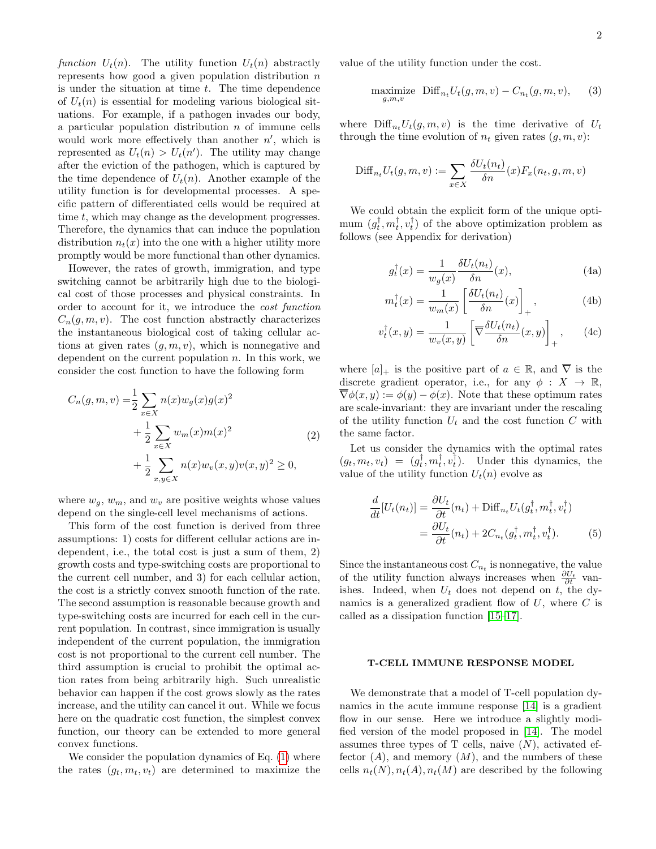function  $U_t(n)$ . The utility function  $U_t(n)$  abstractly represents how good a given population distribution  $n$ is under the situation at time  $t$ . The time dependence of  $U_t(n)$  is essential for modeling various biological situations. For example, if a pathogen invades our body, a particular population distribution  $n$  of immune cells would work more effectively than another  $n'$ , which is represented as  $U_t(n) > U_t(n')$ . The utility may change after the eviction of the pathogen, which is captured by the time dependence of  $U_t(n)$ . Another example of the utility function is for developmental processes. A specific pattern of differentiated cells would be required at time t, which may change as the development progresses. Therefore, the dynamics that can induce the population distribution  $n_t(x)$  into the one with a higher utility more promptly would be more functional than other dynamics.

However, the rates of growth, immigration, and type switching cannot be arbitrarily high due to the biological cost of those processes and physical constraints. In order to account for it, we introduce the cost function  $C_n(q, m, v)$ . The cost function abstractly characterizes the instantaneous biological cost of taking cellular actions at given rates  $(q, m, v)$ , which is nonnegative and dependent on the current population  $n$ . In this work, we consider the cost function to have the following form

<span id="page-1-1"></span>
$$
C_n(g, m, v) = \frac{1}{2} \sum_{x \in X} n(x) w_g(x) g(x)^2
$$
  
+ 
$$
\frac{1}{2} \sum_{x \in X} w_m(x) m(x)^2
$$
  
+ 
$$
\frac{1}{2} \sum_{x, y \in X} n(x) w_v(x, y) v(x, y)^2 \ge 0,
$$
 (2)

where  $w_g$ ,  $w_m$ , and  $w_v$  are positive weights whose values depend on the single-cell level mechanisms of actions.

This form of the cost function is derived from three assumptions: 1) costs for different cellular actions are independent, i.e., the total cost is just a sum of them, 2) growth costs and type-switching costs are proportional to the current cell number, and 3) for each cellular action, the cost is a strictly convex smooth function of the rate. The second assumption is reasonable because growth and type-switching costs are incurred for each cell in the current population. In contrast, since immigration is usually independent of the current population, the immigration cost is not proportional to the current cell number. The third assumption is crucial to prohibit the optimal action rates from being arbitrarily high. Such unrealistic behavior can happen if the cost grows slowly as the rates increase, and the utility can cancel it out. While we focus here on the quadratic cost function, the simplest convex function, our theory can be extended to more general convex functions.

We consider the population dynamics of Eq. [\(1\)](#page-0-0) where the rates  $(g_t, m_t, v_t)$  are determined to maximize the

$$
\underset{g,m,v}{\text{maximize}} \quad \text{Diff}_{n_t} U_t(g,m,v) - C_{n_t}(g,m,v), \qquad (3)
$$

where  $\text{Diff}_{n_t}U_t(g, m, v)$  is the time derivative of  $U_t$ through the time evolution of  $n_t$  given rates  $(q, m, v)$ :

$$
\text{Diff}_{n_t}U_t(g, m, v) := \sum_{x \in X} \frac{\delta U_t(n_t)}{\delta n}(x) F_x(n_t, g, m, v)
$$

We could obtain the explicit form of the unique optimum  $(g_t^{\dagger}, m_t^{\dagger}, v_t^{\dagger})$  of the above optimization problem as follows (see Appendix for derivation)

<span id="page-1-3"></span>
$$
g_t^{\dagger}(x) = \frac{1}{w_g(x)} \frac{\delta U_t(n_t)}{\delta n}(x), \tag{4a}
$$

<span id="page-1-2"></span>
$$
m_t^{\dagger}(x) = \frac{1}{w_m(x)} \left[ \frac{\delta U_t(n_t)}{\delta n}(x) \right]_+, \tag{4b}
$$

$$
v_t^{\dagger}(x,y) = \frac{1}{w_v(x,y)} \left[ \overline{\nabla} \frac{\delta U_t(n_t)}{\delta n}(x,y) \right]_+, \qquad (4c)
$$

where  $[a]_+$  is the positive part of  $a \in \mathbb{R}$ , and  $\overline{\nabla}$  is the discrete gradient operator, i.e., for any  $\phi: X \to \mathbb{R}$ ,  $\overline{\nabla}\phi(x,y) := \phi(y) - \phi(x)$ . Note that these optimum rates are scale-invariant: they are invariant under the rescaling of the utility function  $U_t$  and the cost function C with the same factor.

Let us consider the dynamics with the optimal rates  $(g_t, m_t, v_t) = (g_t^{\dagger}, m_t^{\dagger}, v_t^{\dagger}).$  Under this dynamics, the value of the utility function  $U_t(n)$  evolve as

<span id="page-1-0"></span>
$$
\frac{d}{dt}[U_t(n_t)] = \frac{\partial U_t}{\partial t}(n_t) + \text{Diff}_{n_t}U_t(g_t^\dagger, m_t^\dagger, v_t^\dagger)
$$
\n
$$
= \frac{\partial U_t}{\partial t}(n_t) + 2C_{n_t}(g_t^\dagger, m_t^\dagger, v_t^\dagger). \tag{5}
$$

Since the instantaneous cost  $C_{n_t}$  is nonnegative, the value of the utility function always increases when  $\frac{\partial U_t}{\partial t}$  vanishes. Indeed, when  $U_t$  does not depend on t, the dynamics is a generalized gradient flow of  $U$ , where  $C$  is called as a dissipation function [\[15](#page-4-10)[–17\]](#page-4-11).

## T-CELL IMMUNE RESPONSE MODEL

We demonstrate that a model of T-cell population dynamics in the acute immune response [\[14\]](#page-4-9) is a gradient flow in our sense. Here we introduce a slightly modified version of the model proposed in [\[14\]](#page-4-9). The model assumes three types of  $T$  cells, naive  $(N)$ , activated effector  $(A)$ , and memory  $(M)$ , and the numbers of these cells  $n_t(N), n_t(A), n_t(M)$  are described by the following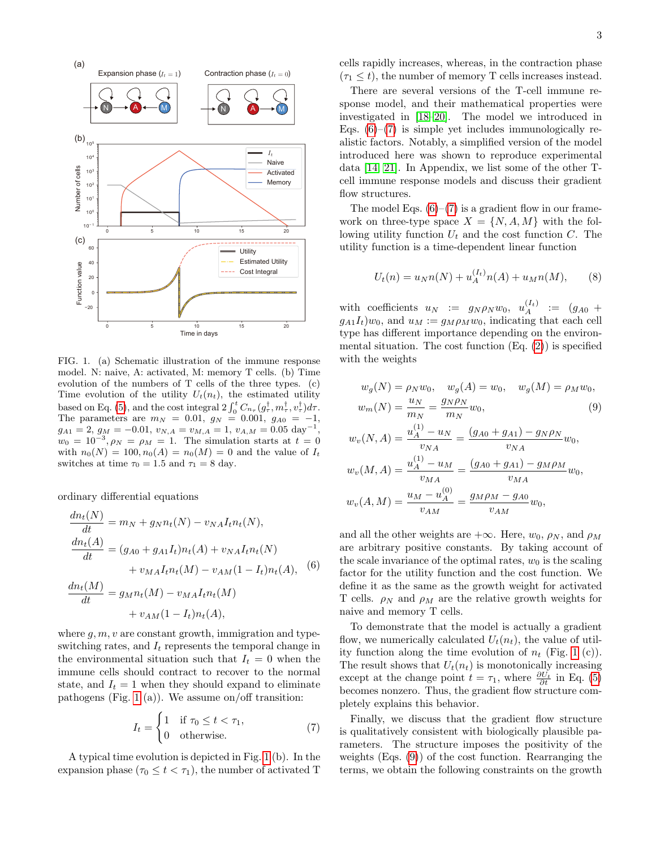

<span id="page-2-0"></span>FIG. 1. (a) Schematic illustration of the immune response model. N: naive, A: activated, M: memory T cells. (b) Time evolution of the numbers of T cells of the three types. (c) Time evolution of the utility  $U_t(n_t)$ , the estimated utility based on Eq. [\(5\)](#page-1-0), and the cost integral  $2 \int_0^t C_{n_\tau} (g_\tau^\dagger, m_\tau^\dagger, v_\tau^\dagger) d\tau$ . The parameters are  $m_N = 0.01, g_N = 0.001, g_{A0} = -1,$  $g_{A1} = 2, g_M = -0.01, v_{N,A} = v_{M,A} = 1, v_{A,M} = 0.05 \text{ day}^{-1},$  $w_0 = 10^{-3}, \rho_N = \rho_M = 1.$  The simulation starts at  $t = 0$ with  $n_0(N) = 100, n_0(A) = n_0(M) = 0$  and the value of  $I_t$ switches at time  $\tau_0 = 1.5$  and  $\tau_1 = 8$  day.

ordinary differential equations

<span id="page-2-1"></span>
$$
\frac{dn_t(N)}{dt} = m_N + g_N n_t(N) - v_{NA} I_t n_t(N),
$$
  
\n
$$
\frac{dn_t(A)}{dt} = (g_{A0} + g_{A1} I_t) n_t(A) + v_{NA} I_t n_t(N)
$$
  
\n
$$
+ v_{MA} I_t n_t(M) - v_{AM} (1 - I_t) n_t(A),
$$
  
\n
$$
\frac{dn_t(M)}{dt} = g_{M} n_t(M) - v_{MA} I_t n_t(M)
$$
  
\n
$$
+ v_{AM} (1 - I_t) n_t(A),
$$
  
\n(6)

where  $q, m, v$  are constant growth, immigration and typeswitching rates, and  $I_t$  represents the temporal change in the environmental situation such that  $I_t = 0$  when the immune cells should contract to recover to the normal state, and  $I_t = 1$  when they should expand to eliminate pathogens (Fig. [1](#page-2-0) (a)). We assume on/off transition:

<span id="page-2-2"></span>
$$
I_t = \begin{cases} 1 & \text{if } \tau_0 \le t < \tau_1, \\ 0 & \text{otherwise.} \end{cases} \tag{7}
$$

A typical time evolution is depicted in Fig. [1](#page-2-0) (b). In the expansion phase  $(\tau_0 \leq t < \tau_1)$ , the number of activated T

cells rapidly increases, whereas, in the contraction phase  $(\tau_1 \leq t)$ , the number of memory T cells increases instead.

There are several versions of the T-cell immune response model, and their mathematical properties were investigated in [\[18](#page-4-12)[–20\]](#page-5-0). The model we introduced in Eqs.  $(6)-(7)$  $(6)-(7)$  $(6)-(7)$  is simple yet includes immunologically realistic factors. Notably, a simplified version of the model introduced here was shown to reproduce experimental data [\[14,](#page-4-9) [21\]](#page-5-1). In Appendix, we list some of the other Tcell immune response models and discuss their gradient flow structures.

The model Eqs.  $(6)-(7)$  $(6)-(7)$  $(6)-(7)$  is a gradient flow in our framework on three-type space  $X = \{N, A, M\}$  with the following utility function  $U_t$  and the cost function C. The utility function is a time-dependent linear function

$$
U_t(n) = u_N n(N) + u_A^{(I_t)} n(A) + u_M n(M), \qquad (8)
$$

with coefficients  $u_N := g_N \rho_N w_0, u_A^{(I_t)} := (g_{A0} +$  $g_{A1}I_t)w_0$ , and  $u_M := g_M \rho_M w_0$ , indicating that each cell type has different importance depending on the environmental situation. The cost function  $(Eq. (2))$  $(Eq. (2))$  $(Eq. (2))$  is specified with the weights

<span id="page-2-3"></span>
$$
w_g(N) = \rho_N w_0, \quad w_g(A) = w_0, \quad w_g(M) = \rho_M w_0, w_m(N) = \frac{u_N}{m_N} = \frac{g_N \rho_N}{m_N} w_0,
$$
\n(9)

$$
w_v(N, A) = \frac{u_A^{(1)} - u_N}{v_{NA}} = \frac{(g_{A0} + g_{A1}) - g_N \rho_N}{v_{NA}} w_0,
$$
  

$$
w_v(M, A) = \frac{u_A^{(1)} - u_M}{v_{MA}} = \frac{(g_{A0} + g_{A1}) - g_M \rho_M}{v_{MA}} w_0,
$$
  

$$
w_v(A, M) = \frac{u_M - u_A^{(0)}}{v_{AM}} = \frac{g_M \rho_M - g_{A0}}{v_{AM}} w_0,
$$

and all the other weights are  $+\infty$ . Here,  $w_0$ ,  $\rho_N$ , and  $\rho_M$ are arbitrary positive constants. By taking account of the scale invariance of the optimal rates,  $w_0$  is the scaling factor for the utility function and the cost function. We define it as the same as the growth weight for activated T cells.  $\rho_N$  and  $\rho_M$  are the relative growth weights for naive and memory T cells.

To demonstrate that the model is actually a gradient flow, we numerically calculated  $U_t(n_t)$ , the value of utility function along the time evolution of  $n_t$  (Fig. [1](#page-2-0) (c)). The result shows that  $U_t(n_t)$  is monotonically increasing except at the change point  $t = \tau_1$ , where  $\frac{\partial U_t}{\partial t}$  in Eq. [\(5\)](#page-1-0) becomes nonzero. Thus, the gradient flow structure completely explains this behavior.

Finally, we discuss that the gradient flow structure is qualitatively consistent with biologically plausible parameters. The structure imposes the positivity of the weights (Eqs. [\(9\)](#page-2-3)) of the cost function. Rearranging the terms, we obtain the following constraints on the growth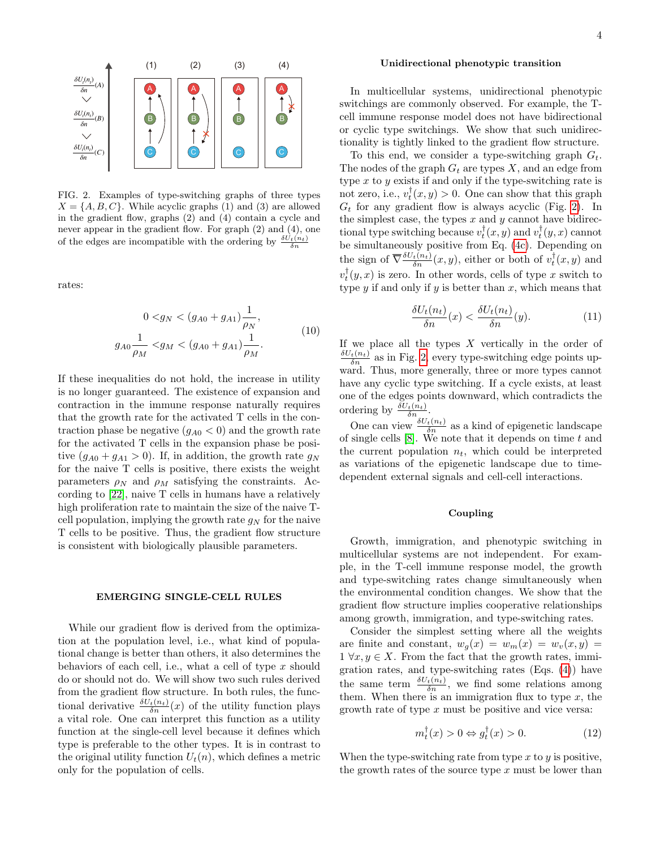

<span id="page-3-0"></span>FIG. 2. Examples of type-switching graphs of three types  $X = \{A, B, C\}$ . While acyclic graphs (1) and (3) are allowed in the gradient flow, graphs (2) and (4) contain a cycle and never appear in the gradient flow. For graph (2) and (4), one of the edges are incompatible with the ordering by  $\frac{\delta U_t(n_t)}{\delta n}$ 

rates:

<span id="page-3-1"></span>
$$
0 \langle g_N \rangle \langle (g_{A0} + g_{A1}) \frac{1}{\rho_N},
$$
  
\n
$$
g_{A0} \frac{1}{\rho_M} \langle g_M \rangle \langle (g_{A0} + g_{A1}) \frac{1}{\rho_M}. \rangle \tag{10}
$$

If these inequalities do not hold, the increase in utility is no longer guaranteed. The existence of expansion and contraction in the immune response naturally requires that the growth rate for the activated T cells in the contraction phase be negative  $(g_{A0} < 0)$  and the growth rate for the activated T cells in the expansion phase be positive  $(g_{A0} + g_{A1} > 0)$ . If, in addition, the growth rate  $g_N$ for the naive T cells is positive, there exists the weight parameters  $\rho_N$  and  $\rho_M$  satisfying the constraints. According to [\[22\]](#page-5-2), naive T cells in humans have a relatively high proliferation rate to maintain the size of the naive Tcell population, implying the growth rate  $g_N$  for the naive T cells to be positive. Thus, the gradient flow structure is consistent with biologically plausible parameters.

#### EMERGING SINGLE-CELL RULES

While our gradient flow is derived from the optimization at the population level, i.e., what kind of populational change is better than others, it also determines the behaviors of each cell, i.e., what a cell of type  $x$  should do or should not do. We will show two such rules derived from the gradient flow structure. In both rules, the functional derivative  $\frac{\delta U_t(n_t)}{\delta n}(x)$  of the utility function plays a vital role. One can interpret this function as a utility function at the single-cell level because it defines which type is preferable to the other types. It is in contrast to the original utility function  $U_t(n)$ , which defines a metric only for the population of cells.

#### Unidirectional phenotypic transition

In multicellular systems, unidirectional phenotypic switchings are commonly observed. For example, the Tcell immune response model does not have bidirectional or cyclic type switchings. We show that such unidirectionality is tightly linked to the gradient flow structure.

To this end, we consider a type-switching graph  $G_t$ . The nodes of the graph  $G_t$  are types X, and an edge from type  $x$  to  $y$  exists if and only if the type-switching rate is not zero, i.e.,  $v_t^{\dagger}(x, y) > 0$ . One can show that this graph  $G_t$  for any gradient flow is always acyclic (Fig. [2\)](#page-3-0). In the simplest case, the types  $x$  and  $y$  cannot have bidirectional type switching because  $v_t^{\dagger}(x, y)$  and  $v_t^{\dagger}(y, x)$  cannot be simultaneously positive from Eq. [\(4c\)](#page-1-2). Depending on the sign of  $\overline{\nabla} \frac{\delta U_t(n_t)}{\delta n}(x, y)$ , either or both of  $v_t^{\dagger}(x, y)$  and  $v_t^{\dagger}(y, x)$  is zero. In other words, cells of type x switch to type  $y$  if and only if  $y$  is better than  $x$ , which means that

$$
\frac{\delta U_t(n_t)}{\delta n}(x) < \frac{\delta U_t(n_t)}{\delta n}(y). \tag{11}
$$

If we place all the types  $X$  vertically in the order of  $\frac{\delta U_t(n_t)}{\delta n}$  as in Fig. [2,](#page-3-0) every type-switching edge points upward. Thus, more generally, three or more types cannot have any cyclic type switching. If a cycle exists, at least one of the edges points downward, which contradicts the ordering by  $\frac{\delta U_t(n_t)}{\delta n_{\text{max}}}.$ 

One can view  $\frac{\delta U_t(n_t)}{\delta n}$  as a kind of epigenetic landscape of single cells  $[8]$ . We note that it depends on time  $t$  and the current population  $n_t$ , which could be interpreted as variations of the epigenetic landscape due to timedependent external signals and cell-cell interactions.

#### Coupling

Growth, immigration, and phenotypic switching in multicellular systems are not independent. For example, in the T-cell immune response model, the growth and type-switching rates change simultaneously when the environmental condition changes. We show that the gradient flow structure implies cooperative relationships among growth, immigration, and type-switching rates.

Consider the simplest setting where all the weights are finite and constant,  $w_q(x) = w_m(x) = w_v(x, y) =$  $1 \forall x, y \in X$ . From the fact that the growth rates, immigration rates, and type-switching rates (Eqs. [\(4\)](#page-1-3)) have the same term  $\frac{\delta U_t(n_t)}{\delta n}$ , we find some relations among them. When there is an immigration flux to type  $x$ , the growth rate of type  $x$  must be positive and vice versa:

$$
m_t^{\dagger}(x) > 0 \Leftrightarrow g_t^{\dagger}(x) > 0. \tag{12}
$$

When the type-switching rate from type  $x$  to  $y$  is positive, the growth rates of the source type  $x$  must be lower than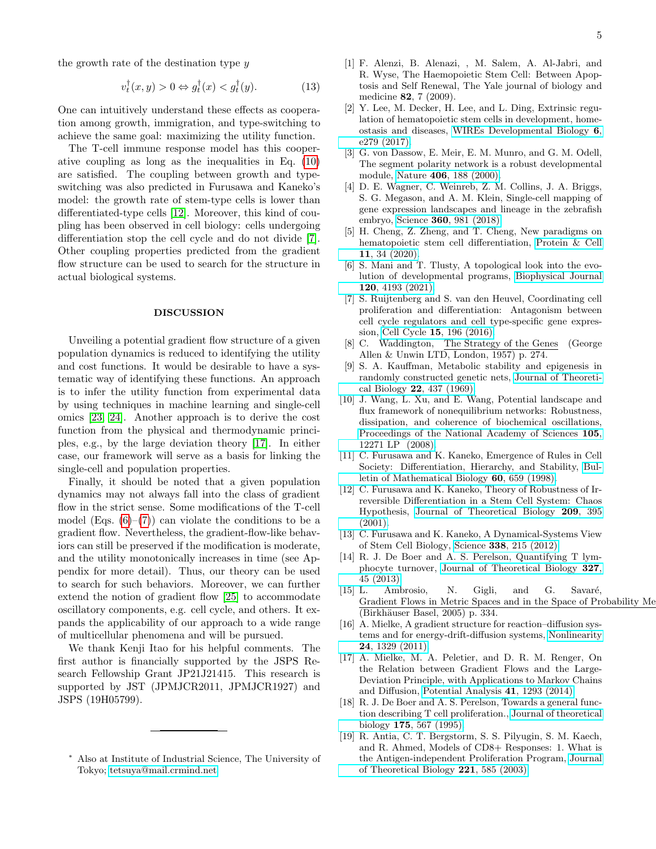the growth rate of the destination type y

$$
v_t^{\dagger}(x,y) > 0 \Leftrightarrow g_t^{\dagger}(x) < g_t^{\dagger}(y). \tag{13}
$$

One can intuitively understand these effects as cooperation among growth, immigration, and type-switching to achieve the same goal: maximizing the utility function.

The T-cell immune response model has this cooperative coupling as long as the inequalities in Eq. [\(10\)](#page-3-1) are satisfied. The coupling between growth and typeswitching was also predicted in Furusawa and Kaneko's model: the growth rate of stem-type cells is lower than differentiated-type cells [\[12\]](#page-4-13). Moreover, this kind of coupling has been observed in cell biology: cells undergoing differentiation stop the cell cycle and do not divide [\[7\]](#page-4-4). Other coupling properties predicted from the gradient flow structure can be used to search for the structure in actual biological systems.

### DISCUSSION

Unveiling a potential gradient flow structure of a given population dynamics is reduced to identifying the utility and cost functions. It would be desirable to have a systematic way of identifying these functions. An approach is to infer the utility function from experimental data by using techniques in machine learning and single-cell omics [\[23,](#page-5-3) [24\]](#page-5-4). Another approach is to derive the cost function from the physical and thermodynamic principles, e.g., by the large deviation theory [\[17\]](#page-4-11). In either case, our framework will serve as a basis for linking the single-cell and population properties.

Finally, it should be noted that a given population dynamics may not always fall into the class of gradient flow in the strict sense. Some modifications of the T-cell model (Eqs.  $(6)-(7)$  $(6)-(7)$  $(6)-(7)$ ) can violate the conditions to be a gradient flow. Nevertheless, the gradient-flow-like behaviors can still be preserved if the modification is moderate, and the utility monotonically increases in time (see Appendix for more detail). Thus, our theory can be used to search for such behaviors. Moreover, we can further extend the notion of gradient flow [\[25\]](#page-5-5) to accommodate oscillatory components, e.g. cell cycle, and others. It expands the applicability of our approach to a wide range of multicellular phenomena and will be pursued.

We thank Kenji Itao for his helpful comments. The first author is financially supported by the JSPS Research Fellowship Grant JP21J21415. This research is supported by JST (JPMJCR2011, JPMJCR1927) and JSPS (19H05799).

- <span id="page-4-1"></span>[2] Y. Lee, M. Decker, H. Lee, and L. Ding, Extrinsic regulation of hematopoietic stem cells in development, homeostasis and diseases, [WIREs Developmental Biology](https://doi.org/https://doi.org/10.1002/wdev.279) 6, [e279 \(2017\).](https://doi.org/https://doi.org/10.1002/wdev.279)
- <span id="page-4-2"></span>[3] G. von Dassow, E. Meir, E. M. Munro, and G. M. Odell, The segment polarity network is a robust developmental module, Nature 406[, 188 \(2000\).](https://doi.org/10.1038/35018085)
- <span id="page-4-3"></span>[4] D. E. Wagner, C. Weinreb, Z. M. Collins, J. A. Briggs, S. G. Megason, and A. M. Klein, Single-cell mapping of gene expression landscapes and lineage in the zebrafish embryo, Science 360[, 981 \(2018\).](https://doi.org/10.1126/science.aar4362)
- [5] H. Cheng, Z. Zheng, and T. Cheng, New paradigms on hematopoietic stem cell differentiation, [Protein & Cell](https://doi.org/10.1007/s13238-019-0633-0) 11[, 34 \(2020\).](https://doi.org/10.1007/s13238-019-0633-0)
- [6] S. Mani and T. Tlusty, A topological look into the evolution of developmental programs, [Biophysical Journal](https://doi.org/https://doi.org/10.1016/j.bpj.2021.08.044) 120[, 4193 \(2021\).](https://doi.org/https://doi.org/10.1016/j.bpj.2021.08.044)
- <span id="page-4-4"></span>[7] S. Ruijtenberg and S. van den Heuvel, Coordinating cell proliferation and differentiation: Antagonism between cell cycle regulators and cell type-specific gene expression, Cell Cycle 15[, 196 \(2016\).](https://doi.org/10.1080/15384101.2015.1120925)
- <span id="page-4-5"></span>[8] C. Waddington, The Strategy of the Genes (George Allen & Unwin LTD, London, 1957) p. 274.
- [9] S. A. Kauffman, Metabolic stability and epigenesis in randomly constructed genetic nets, [Journal of Theoreti](https://doi.org/https://doi.org/10.1016/0022-5193(69)90015-0)cal Biology 22[, 437 \(1969\).](https://doi.org/https://doi.org/10.1016/0022-5193(69)90015-0)
- <span id="page-4-6"></span>[10] J. Wang, L. Xu, and E. Wang, Potential landscape and flux framework of nonequilibrium networks: Robustness, dissipation, and coherence of biochemical oscillations, [Proceedings of the National Academy of Sciences](https://doi.org/10.1073/pnas.0800579105) 105, [12271 LP \(2008\).](https://doi.org/10.1073/pnas.0800579105)
- <span id="page-4-7"></span>[11] C. Furusawa and K. Kaneko, Emergence of Rules in Cell Society: Differentiation, Hierarchy, and Stability, [Bul](https://doi.org/https://doi.org/10.1006/bulm.1997.0034)[letin of Mathematical Biology](https://doi.org/https://doi.org/10.1006/bulm.1997.0034) 60, 659 (1998).
- <span id="page-4-13"></span>[12] C. Furusawa and K. Kaneko, Theory of Robustness of Irreversible Differentiation in a Stem Cell System: Chaos Hypothesis, [Journal of Theoretical Biology](https://doi.org/https://doi.org/10.1006/jtbi.2001.2264) 209, 395 [\(2001\).](https://doi.org/https://doi.org/10.1006/jtbi.2001.2264)
- <span id="page-4-8"></span>[13] C. Furusawa and K. Kaneko, A Dynamical-Systems View of Stem Cell Biology, Science 338[, 215 \(2012\).](https://doi.org/10.1126/science.1224311)
- <span id="page-4-9"></span>[14] R. J. De Boer and A. S. Perelson, Quantifying T lymphocyte turnover, [Journal of Theoretical Biology](https://doi.org/https://doi.org/10.1016/j.jtbi.2012.12.025) 327, [45 \(2013\).](https://doi.org/https://doi.org/10.1016/j.jtbi.2012.12.025)
- <span id="page-4-10"></span>[15] L. Ambrosio, N. Gigli, and G. Savaré, Gradient Flows in Metric Spaces and in the Space of Probability Me (Birkhäuser Basel, 2005) p. 334.
- [16] A. Mielke, A gradient structure for reaction–diffusion systems and for energy-drift-diffusion systems, [Nonlinearity](https://doi.org/10.1088/0951-7715/24/4/016) 24[, 1329 \(2011\).](https://doi.org/10.1088/0951-7715/24/4/016)
- <span id="page-4-11"></span>[17] A. Mielke, M. A. Peletier, and D. R. M. Renger, On the Relation between Gradient Flows and the Large-Deviation Principle, with Applications to Markov Chains and Diffusion, [Potential Analysis](https://doi.org/10.1007/s11118-014-9418-5) 41, 1293 (2014).
- <span id="page-4-12"></span>[18] R. J. De Boer and A. S. Perelson, Towards a general function describing T cell proliferation., [Journal of theoretical](https://doi.org/10.1006/jtbi.1995.0165) biology 175[, 567 \(1995\).](https://doi.org/10.1006/jtbi.1995.0165)
- [19] R. Antia, C. T. Bergstorm, S. S. Pilyugin, S. M. Kaech, and R. Ahmed, Models of CD8+ Responses: 1. What is the Antigen-independent Proliferation Program, [Journal](https://doi.org/https://doi.org/10.1006/jtbi.2003.3208) [of Theoretical Biology](https://doi.org/https://doi.org/10.1006/jtbi.2003.3208) 221, 585 (2003).

<span id="page-4-0"></span><sup>∗</sup> Also at Institute of Industrial Science, The University of Tokyo; [tetsuya@mail.crmind.net](mailto:tetsuya@mail.crmind.net)